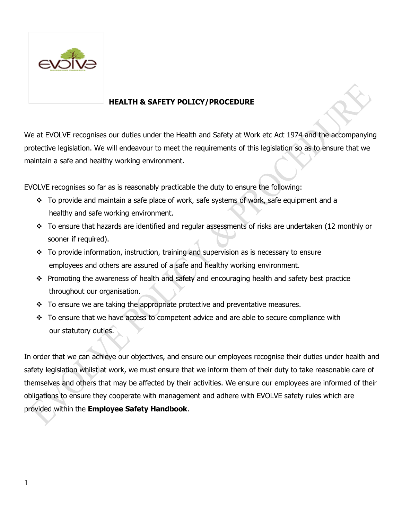

# **HEALTH & SAFETY POLICY/PROCEDURE**

We at EVOLVE recognises our duties under the Health and Safety at Work etc Act 1974 and the accompanying protective legislation. We will endeavour to meet the requirements of this legislation so as to ensure that we maintain a safe and healthy working environment.

EVOLVE recognises so far as is reasonably practicable the duty to ensure the following:

- ❖ To provide and maintain a safe place of work, safe systems of work, safe equipment and a healthy and safe working environment.
- $\cdot \cdot$  To ensure that hazards are identified and regular assessments of risks are undertaken (12 monthly or sooner if required).
- ❖ To provide information, instruction, training and supervision as is necessary to ensure employees and others are assured of a safe and healthy working environment.
- ❖ Promoting the awareness of health and safety and encouraging health and safety best practice throughout our organisation.
- ❖ To ensure we are taking the appropriate protective and preventative measures.
- ❖ To ensure that we have access to competent advice and are able to secure compliance with our statutory duties.

In order that we can achieve our objectives, and ensure our employees recognise their duties under health and safety legislation whilst at work, we must ensure that we inform them of their duty to take reasonable care of themselves and others that may be affected by their activities. We ensure our employees are informed of their obligations to ensure they cooperate with management and adhere with EVOLVE safety rules which are provided within the **Employee Safety Handbook**.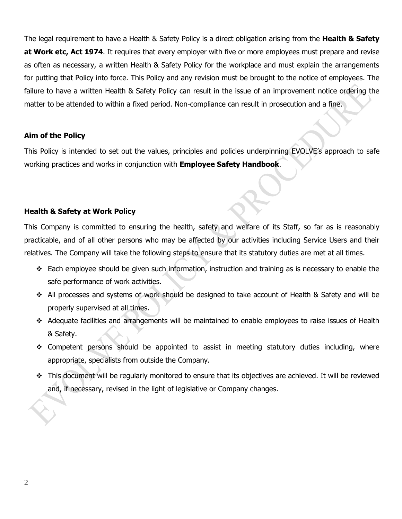The legal requirement to have a Health & Safety Policy is a direct obligation arising from the **Health & Safety at Work etc, Act 1974**. It requires that every employer with five or more employees must prepare and revise as often as necessary, a written Health & Safety Policy for the workplace and must explain the arrangements for putting that Policy into force. This Policy and any revision must be brought to the notice of employees. The failure to have a written Health & Safety Policy can result in the issue of an improvement notice ordering the matter to be attended to within a fixed period. Non-compliance can result in prosecution and a fine.

#### **Aim of the Policy**

This Policy is intended to set out the values, principles and policies underpinning EVOLVE's approach to safe working practices and works in conjunction with **Employee Safety Handbook**.

#### **Health & Safety at Work Policy**

This Company is committed to ensuring the health, safety and welfare of its Staff, so far as is reasonably practicable, and of all other persons who may be affected by our activities including Service Users and their relatives. The Company will take the following steps to ensure that its statutory duties are met at all times.

- $\div$  Each employee should be given such information, instruction and training as is necessary to enable the safe performance of work activities.
- ❖ All processes and systems of work should be designed to take account of Health & Safety and will be properly supervised at all times.
- ❖ Adequate facilities and arrangements will be maintained to enable employees to raise issues of Health & Safety.
- ❖ Competent persons should be appointed to assist in meeting statutory duties including, where appropriate, specialists from outside the Company.
- ❖ This document will be regularly monitored to ensure that its objectives are achieved. It will be reviewed and, if necessary, revised in the light of legislative or Company changes.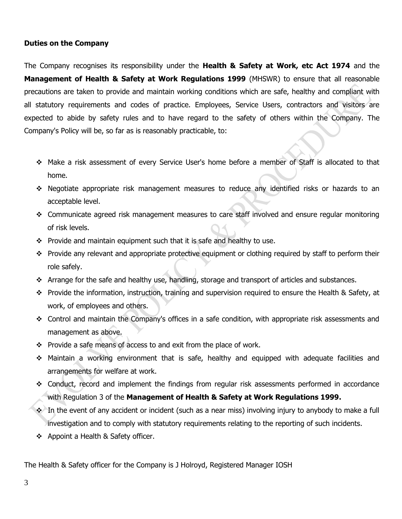### **Duties on the Company**

The Company recognises its responsibility under the **Health & Safety at Work, etc Act 1974** and the **Management of Health & Safety at Work Regulations 1999** (MHSWR) to ensure that all reasonable precautions are taken to provide and maintain working conditions which are safe, healthy and compliant with all statutory requirements and codes of practice. Employees, Service Users, contractors and visitors are expected to abide by safety rules and to have regard to the safety of others within the Company. The Company's Policy will be, so far as is reasonably practicable, to:

- ❖ Make a risk assessment of every Service User's home before a member of Staff is allocated to that home.
- ❖ Negotiate appropriate risk management measures to reduce any identified risks or hazards to an acceptable level.
- ❖ Communicate agreed risk management measures to care staff involved and ensure regular monitoring of risk levels.
- ❖ Provide and maintain equipment such that it is safe and healthy to use.
- ❖ Provide any relevant and appropriate protective equipment or clothing required by staff to perform their role safely.
- ❖ Arrange for the safe and healthy use, handling, storage and transport of articles and substances.
- ❖ Provide the information, instruction, training and supervision required to ensure the Health & Safety, at work, of employees and others.
- ❖ Control and maintain the Company's offices in a safe condition, with appropriate risk assessments and management as above.
- ❖ Provide a safe means of access to and exit from the place of work.
- ❖ Maintain a working environment that is safe, healthy and equipped with adequate facilities and arrangements for welfare at work.
- ❖ Conduct, record and implement the findings from regular risk assessments performed in accordance with Regulation 3 of the **Management of Health & Safety at Work Regulations 1999.**
- ❖ In the event of any accident or incident (such as a near miss) involving injury to anybody to make a full investigation and to comply with statutory requirements relating to the reporting of such incidents.
- ❖ Appoint a Health & Safety officer.

The Health & Safety officer for the Company is J Holroyd, Registered Manager IOSH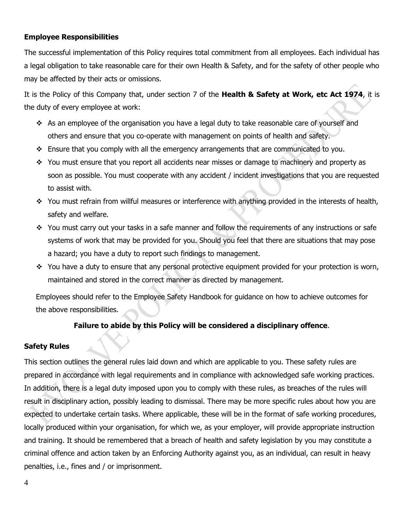# **Employee Responsibilities**

The successful implementation of this Policy requires total commitment from all employees. Each individual has a legal obligation to take reasonable care for their own Health & Safety, and for the safety of other people who may be affected by their acts or omissions.

It is the Policy of this Company that, under section 7 of the **Health & Safety at Work, etc Act 1974**, it is the duty of every employee at work:

- ❖ As an employee of the organisation you have a legal duty to take reasonable care of yourself and others and ensure that you co-operate with management on points of health and safety.
- ❖ Ensure that you comply with all the emergency arrangements that are communicated to you.
- ❖ You must ensure that you report all accidents near misses or damage to machinery and property as soon as possible. You must cooperate with any accident / incident investigations that you are requested to assist with.
- ❖ You must refrain from willful measures or interference with anything provided in the interests of health, safety and welfare.
- ❖ You must carry out your tasks in a safe manner and follow the requirements of any instructions or safe systems of work that may be provided for you. Should you feel that there are situations that may pose a hazard; you have a duty to report such findings to management.
- ❖ You have a duty to ensure that any personal protective equipment provided for your protection is worn, maintained and stored in the correct manner as directed by management.

Employees should refer to the Employee Safety Handbook for guidance on how to achieve outcomes for the above responsibilities.

# **Failure to abide by this Policy will be considered a disciplinary offence**.

# **Safety Rules**

This section outlines the general rules laid down and which are applicable to you. These safety rules are prepared in accordance with legal requirements and in compliance with acknowledged safe working practices. In addition, there is a legal duty imposed upon you to comply with these rules, as breaches of the rules will result in disciplinary action, possibly leading to dismissal. There may be more specific rules about how you are expected to undertake certain tasks. Where applicable, these will be in the format of safe working procedures, locally produced within your organisation, for which we, as your employer, will provide appropriate instruction and training. It should be remembered that a breach of health and safety legislation by you may constitute a criminal offence and action taken by an Enforcing Authority against you, as an individual, can result in heavy penalties, i.e., fines and / or imprisonment.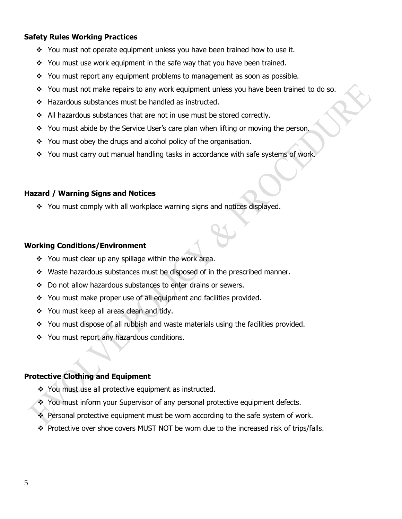### **Safety Rules Working Practices**

- ❖ You must not operate equipment unless you have been trained how to use it.
- ❖ You must use work equipment in the safe way that you have been trained.
- ❖ You must report any equipment problems to management as soon as possible.
- ❖ You must not make repairs to any work equipment unless you have been trained to do so.
- ❖ Hazardous substances must be handled as instructed.
- ❖ All hazardous substances that are not in use must be stored correctly.
- ❖ You must abide by the Service User's care plan when lifting or moving the person.
- ❖ You must obey the drugs and alcohol policy of the organisation.
- ❖ You must carry out manual handling tasks in accordance with safe systems of work.

# **Hazard / Warning Signs and Notices**

❖ You must comply with all workplace warning signs and notices displayed.

# **Working Conditions/Environment**

- ❖ You must clear up any spillage within the work area.
- ❖ Waste hazardous substances must be disposed of in the prescribed manner.
- ❖ Do not allow hazardous substances to enter drains or sewers.
- ❖ You must make proper use of all equipment and facilities provided.
- ❖ You must keep all areas clean and tidy.
- ❖ You must dispose of all rubbish and waste materials using the facilities provided.
- ❖ You must report any hazardous conditions.

# **Protective Clothing and Equipment**

- ❖ You must use all protective equipment as instructed.
- ❖ You must inform your Supervisor of any personal protective equipment defects.
- ❖ Personal protective equipment must be worn according to the safe system of work.
- ❖ Protective over shoe covers MUST NOT be worn due to the increased risk of trips/falls.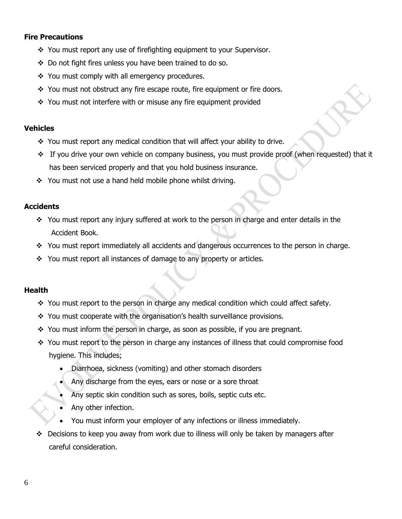### **Fire Precautions**

- ❖ You must report any use of firefighting equipment to your Supervisor.
- ❖ Do not fight fires unless you have been trained to do so.
- ❖ You must comply with all emergency procedures.
- ❖ You must not obstruct any fire escape route, fire equipment or fire doors.
- ❖ You must not interfere with or misuse any fire equipment provided

#### **Vehicles**

- ❖ You must report any medical condition that will affect your ability to drive.
- ❖ If you drive your own vehicle on company business, you must provide proof (when requested) that it has been serviced properly and that you hold business insurance.
- ❖ You must not use a hand held mobile phone whilst driving.

#### **Accidents**

- ❖ You must report any injury suffered at work to the person in charge and enter details in the Accident Book.
- ❖ You must report immediately all accidents and dangerous occurrences to the person in charge.
- ❖ You must report all instances of damage to any property or articles.

# **Health**

- ❖ You must report to the person in charge any medical condition which could affect safety.
- ❖ You must cooperate with the organisation's health surveillance provisions.
- ❖ You must inform the person in charge, as soon as possible, if you are pregnant.
- ❖ You must report to the person in charge any instances of illness that could compromise food hygiene. This includes;
	- Diarrhoea, sickness (vomiting) and other stomach disorders
	- Any discharge from the eyes, ears or nose or a sore throat
	- Any septic skin condition such as sores, boils, septic cuts etc.
	- Any other infection.
	- You must inform your employer of any infections or illness immediately.
- ❖ Decisions to keep you away from work due to illness will only be taken by managers after careful consideration.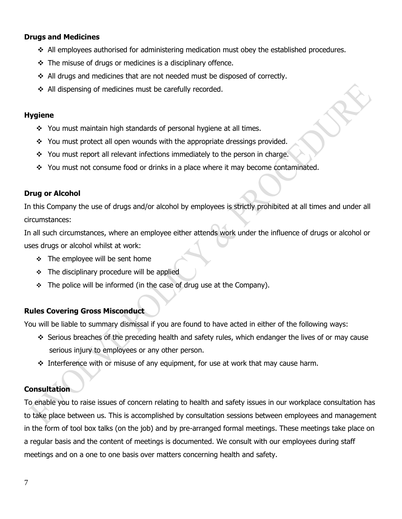# **Drugs and Medicines**

- ❖ All employees authorised for administering medication must obey the established procedures.
- $\div$  The misuse of drugs or medicines is a disciplinary offence.
- ❖ All drugs and medicines that are not needed must be disposed of correctly.
- ❖ All dispensing of medicines must be carefully recorded.

#### **Hygiene**

- ❖ You must maintain high standards of personal hygiene at all times.
- ❖ You must protect all open wounds with the appropriate dressings provided.
- ❖ You must report all relevant infections immediately to the person in charge.
- ❖ You must not consume food or drinks in a place where it may become contaminated.

#### **Drug or Alcohol**

In this Company the use of drugs and/or alcohol by employees is strictly prohibited at all times and under all circumstances:

In all such circumstances, where an employee either attends work under the influence of drugs or alcohol or uses drugs or alcohol whilst at work:

- ❖ The employee will be sent home
- ❖ The disciplinary procedure will be applied
- $\div$  The police will be informed (in the case of drug use at the Company).

# **Rules Covering Gross Misconduct**

You will be liable to summary dismissal if you are found to have acted in either of the following ways:

- ❖ Serious breaches of the preceding health and safety rules, which endanger the lives of or may cause serious injury to employees or any other person.
- ❖ Interference with or misuse of any equipment, for use at work that may cause harm.

# **Consultation**

To enable you to raise issues of concern relating to health and safety issues in our workplace consultation has to take place between us. This is accomplished by consultation sessions between employees and management in the form of tool box talks (on the job) and by pre-arranged formal meetings. These meetings take place on a regular basis and the content of meetings is documented. We consult with our employees during staff meetings and on a one to one basis over matters concerning health and safety.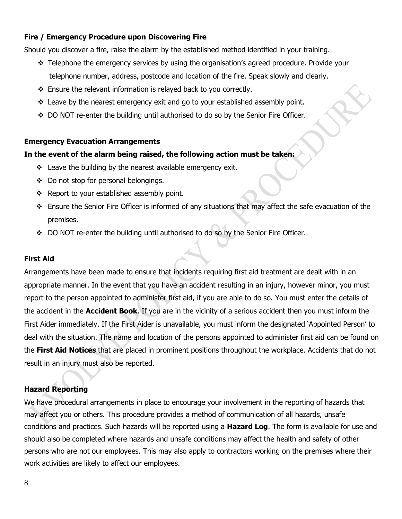# **Fire / Emergency Procedure upon Discovering Fire**

Should you discover a fire, raise the alarm by the established method identified in your training.

- ❖ Telephone the emergency services by using the organisation's agreed procedure. Provide your telephone number, address, postcode and location of the fire. Speak slowly and clearly.
- ❖ Ensure the relevant information is relayed back to you correctly.
- ❖ Leave by the nearest emergency exit and go to your established assembly point.
- ❖ DO NOT re-enter the building until authorised to do so by the Senior Fire Officer.

# **Emergency Evacuation Arrangements**

#### **In the event of the alarm being raised, the following action must be taken:**

- ❖ Leave the building by the nearest available emergency exit.
- ❖ Do not stop for personal belongings.
- ❖ Report to your established assembly point.
- ❖ Ensure the Senior Fire Officer is informed of any situations that may affect the safe evacuation of the premises.
- ❖ DO NOT re-enter the building until authorised to do so by the Senior Fire Officer.

#### **First Aid**

Arrangements have been made to ensure that incidents requiring first aid treatment are dealt with in an appropriate manner. In the event that you have an accident resulting in an injury, however minor, you must report to the person appointed to administer first aid, if you are able to do so. You must enter the details of the accident in the **Accident Book**. If you are in the vicinity of a serious accident then you must inform the First Aider immediately. If the First Aider is unavailable, you must inform the designated 'Appointed Person' to deal with the situation. The name and location of the persons appointed to administer first aid can be found on the **First Aid Notices** that are placed in prominent positions throughout the workplace. Accidents that do not result in an injury must also be reported.

# **Hazard Reporting**

We have procedural arrangements in place to encourage your involvement in the reporting of hazards that may affect you or others. This procedure provides a method of communication of all hazards, unsafe conditions and practices. Such hazards will be reported using a **Hazard Log**. The form is available for use and should also be completed where hazards and unsafe conditions may affect the health and safety of other persons who are not our employees. This may also apply to contractors working on the premises where their work activities are likely to affect our employees.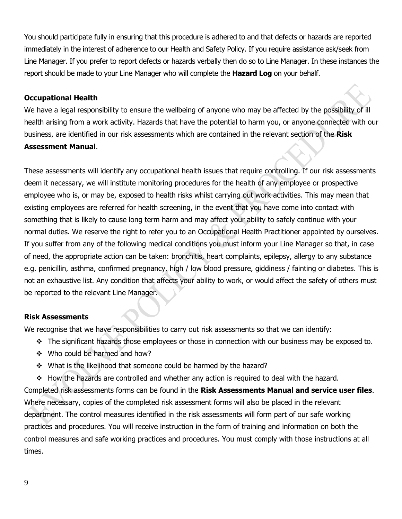You should participate fully in ensuring that this procedure is adhered to and that defects or hazards are reported immediately in the interest of adherence to our Health and Safety Policy. If you require assistance ask/seek from Line Manager. If you prefer to report defects or hazards verbally then do so to Line Manager. In these instances the report should be made to your Line Manager who will complete the **Hazard Log** on your behalf.

# **Occupational Health**

We have a legal responsibility to ensure the wellbeing of anyone who may be affected by the possibility of ill health arising from a work activity. Hazards that have the potential to harm you, or anyone connected with our business, are identified in our risk assessments which are contained in the relevant section of the **Risk Assessment Manual**.

These assessments will identify any occupational health issues that require controlling. If our risk assessments deem it necessary, we will institute monitoring procedures for the health of any employee or prospective employee who is, or may be, exposed to health risks whilst carrying out work activities. This may mean that existing employees are referred for health screening, in the event that you have come into contact with something that is likely to cause long term harm and may affect your ability to safely continue with your normal duties. We reserve the right to refer you to an Occupational Health Practitioner appointed by ourselves. If you suffer from any of the following medical conditions you must inform your Line Manager so that, in case of need, the appropriate action can be taken: bronchitis, heart complaints, epilepsy, allergy to any substance e.g. penicillin, asthma, confirmed pregnancy, high / low blood pressure, giddiness / fainting or diabetes. This is not an exhaustive list. Any condition that affects your ability to work, or would affect the safety of others must be reported to the relevant Line Manager.

# **Risk Assessments**

We recognise that we have responsibilities to carry out risk assessments so that we can identify:

- ❖ The significant hazards those employees or those in connection with our business may be exposed to.
- ❖ Who could be harmed and how?
- ❖ What is the likelihood that someone could be harmed by the hazard?

❖ How the hazards are controlled and whether any action is required to deal with the hazard. Completed risk assessments forms can be found in the **Risk Assessments Manual and service user files**. Where necessary, copies of the completed risk assessment forms will also be placed in the relevant department. The control measures identified in the risk assessments will form part of our safe working practices and procedures. You will receive instruction in the form of training and information on both the control measures and safe working practices and procedures. You must comply with those instructions at all times.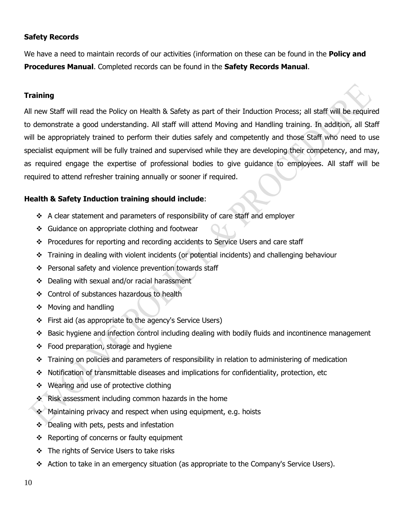# **Safety Records**

We have a need to maintain records of our activities (information on these can be found in the **Policy and Procedures Manual**. Completed records can be found in the **Safety Records Manual**.

### **Training**

All new Staff will read the Policy on Health & Safety as part of their Induction Process; all staff will be required to demonstrate a good understanding. All staff will attend Moving and Handling training. In addition, all Staff will be appropriately trained to perform their duties safely and competently and those Staff who need to use specialist equipment will be fully trained and supervised while they are developing their competency, and may, as required engage the expertise of professional bodies to give guidance to employees. All staff will be required to attend refresher training annually or sooner if required.

#### **Health & Safety Induction training should include**:

- ❖ A clear statement and parameters of responsibility of care staff and employer
- ❖ Guidance on appropriate clothing and footwear
- ❖ Procedures for reporting and recording accidents to Service Users and care staff
- ❖ Training in dealing with violent incidents (or potential incidents) and challenging behaviour
- ❖ Personal safety and violence prevention towards staff
- ❖ Dealing with sexual and/or racial harassment
- ❖ Control of substances hazardous to health
- ❖ Moving and handling
- ❖ First aid (as appropriate to the agency's Service Users)
- ❖ Basic hygiene and infection control including dealing with bodily fluids and incontinence management
- ❖ Food preparation, storage and hygiene
- ❖ Training on policies and parameters of responsibility in relation to administering of medication
- ❖ Notification of transmittable diseases and implications for confidentiality, protection, etc
- ❖ Wearing and use of protective clothing
- ❖ Risk assessment including common hazards in the home
- ❖ Maintaining privacy and respect when using equipment, e.g. hoists
- ❖ Dealing with pets, pests and infestation
- ❖ Reporting of concerns or faulty equipment
- ❖ The rights of Service Users to take risks
- ❖ Action to take in an emergency situation (as appropriate to the Company's Service Users).